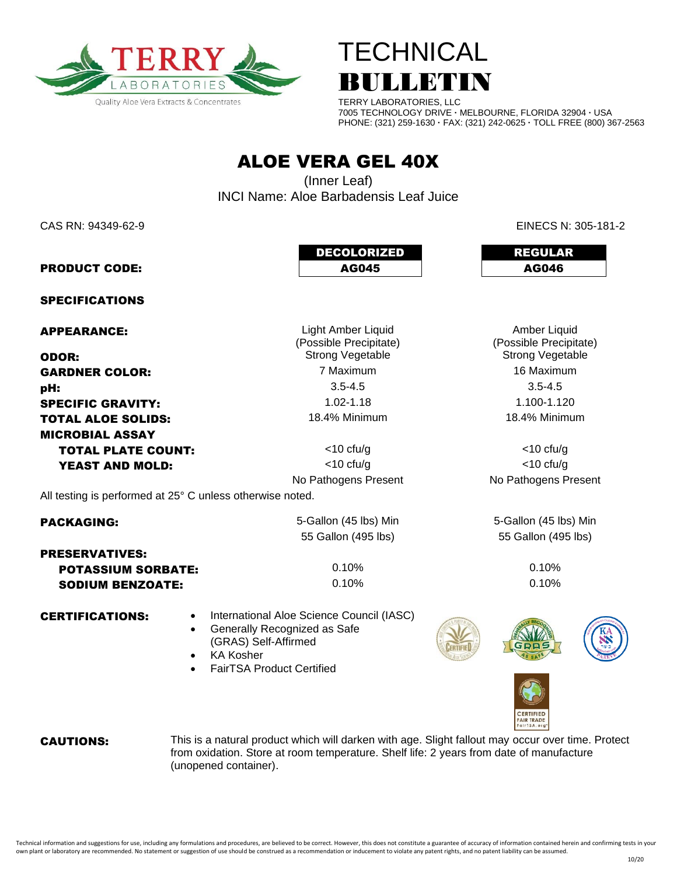



TERRY LABORATORIES, LLC 7005 TECHNOLOGY DRIVE **·** MELBOURNE, FLORIDA 32904 **·** USA PHONE: (321) 259-1630 **·** FAX: (321) 242-0625 **·** TOLL FREE (800) 367-2563

ALOE VERA GEL 40X

(Inner Leaf) INCI Name: Aloe Barbadensis Leaf Juice

CAS RN: 94349-62-9 EINECS N: 305-181-2

Amber Liquid (Possible Precipitate)

|                       | <b>DECOLORIZED</b> | <b>REGULAR</b> |  |  |
|-----------------------|--------------------|----------------|--|--|
| <b>PRODUCT CODE:</b>  | AG045              | AG046          |  |  |
| <b>SPECIFICATIONS</b> |                    |                |  |  |

APPEARANCE: Light Amber Liquid

**ODOR:** Strong Vegetable Strong Vegetable Strong Vegetable Strong Vegetable **GARDNER COLOR:** The Maximum 7 Maximum **16 Maximum** 16 Maximum **pH:**  $3.5-4.5$   $3.5-4.5$ **SPECIFIC GRAVITY:** 1.02-1.18 1.02-1.18 1.100-1.120 **TOTAL ALOE SOLIDS:** 18.4% Minimum 18.4% Minimum 18.4% Minimum MICROBIAL ASSAY **TOTAL PLATE COUNT:**  $\left| \begin{array}{ccc} \text{10~cm} & \text{11~cm} \\ \text{11~cm} & \text{12~cm} \\ \text{13~cm} & \text{14~cm} \\ \text{15~cm} & \text{16~cm} \\ \text{17~cm} & \text{18~cm} \\ \text{19~cm} & \text{19~cm} \\ \text{10~cm} & \text{10~cm} \\ \text{11~cm} & \text{11~cm} \\ \text{12~cm} & \text{13~cm} \\ \text{13~cm} & \text{14~cm} \\ \text{16~cm} &$ **YEAST AND MOLD:**  $\lt10 \text{ ctu/g}$   $\lt 10 \text{ ctu/g}$   $\lt 10 \text{ ctu/g}$ 

(Possible Precipitate)

No Pathogens Present No Pathogens Present

All testing is performed at 25° C unless otherwise noted.

| <b>PACKAGING:</b>                                    |  | 5-Gallon (45 lbs) Min<br>55 Gallon (495 lbs)                              |  | 5-Gallon (45 lbs) Min |   |  |
|------------------------------------------------------|--|---------------------------------------------------------------------------|--|-----------------------|---|--|
|                                                      |  |                                                                           |  | 55 Gallon (495 lbs)   |   |  |
| <b>PRESERVATIVES:</b>                                |  |                                                                           |  |                       |   |  |
| <b>POTASSIUM SORBATE:</b><br><b>SODIUM BENZOATE:</b> |  | 0.10%                                                                     |  | 0.10%                 |   |  |
|                                                      |  | 0.10%                                                                     |  | 0.10%                 |   |  |
| <b>CERTIFICATIONS:</b>                               |  | International Aloe Science Council (IASC)<br>Generally Recognized as Safe |  |                       | K |  |

- (GRAS) Self-Affirmed
	- KA Kosher
	- FairTSA Product Certified



**CAUTIONS:** This is a natural product which will darken with age. Slight fallout may occur over time. Protect from oxidation. Store at room temperature. Shelf life: 2 years from date of manufacture (unopened container).